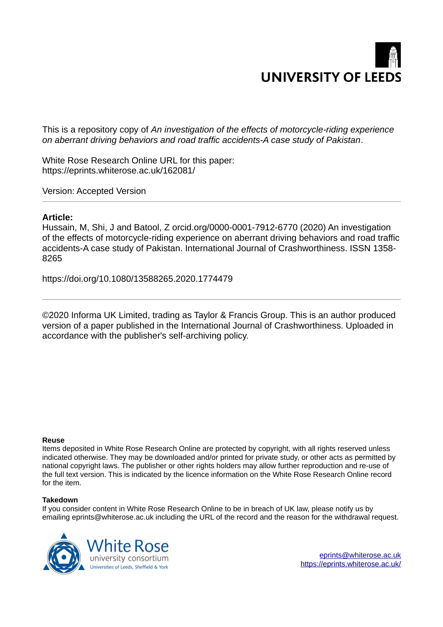# **UNIVERSITY OF LEEDS**

This is a repository copy of *An investigation of the effects of motorcycle-riding experience on aberrant driving behaviors and road traffic accidents-A case study of Pakistan*.

White Rose Research Online URL for this paper: https://eprints.whiterose.ac.uk/162081/

Version: Accepted Version

# **Article:**

Hussain, M, Shi, J and Batool, Z orcid.org/0000-0001-7912-6770 (2020) An investigation of the effects of motorcycle-riding experience on aberrant driving behaviors and road traffic accidents-A case study of Pakistan. International Journal of Crashworthiness. ISSN 1358- 8265

https://doi.org/10.1080/13588265.2020.1774479

©2020 Informa UK Limited, trading as Taylor & Francis Group. This is an author produced version of a paper published in the International Journal of Crashworthiness. Uploaded in accordance with the publisher's self-archiving policy.

# **Reuse**

Items deposited in White Rose Research Online are protected by copyright, with all rights reserved unless indicated otherwise. They may be downloaded and/or printed for private study, or other acts as permitted by national copyright laws. The publisher or other rights holders may allow further reproduction and re-use of the full text version. This is indicated by the licence information on the White Rose Research Online record for the item.

# **Takedown**

If you consider content in White Rose Research Online to be in breach of UK law, please notify us by emailing eprints@whiterose.ac.uk including the URL of the record and the reason for the withdrawal request.



eprints@whiterose.ac.uk https://eprints.whiterose.ac.uk/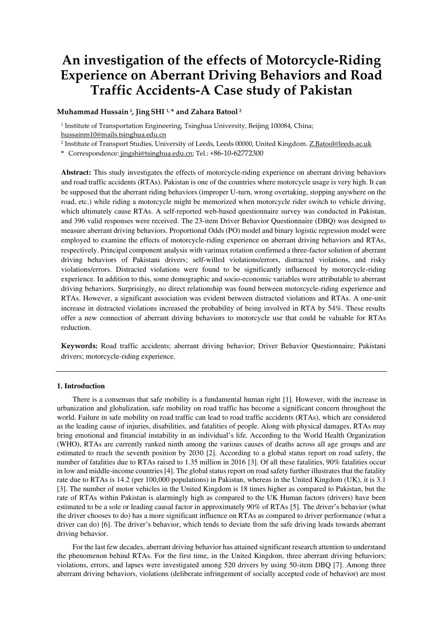# **An investigation of the effects of Motorcycle-Riding Experience on Aberrant Driving Behaviors and Road Traffic Accidents-A Case study of Pakistan**

#### **Muhammad Hussain 1, Jing SHI 1, \* and Zahara Batool<sup>2</sup>**

1 Institute of Transportation Engineering, Tsinghua University, Beijing 100084, China; [hussainm10@mails.tsinghua.edu.cn](mailto:hussainm10@mails.tsinghua.edu.cn) 

<sup>2</sup> Institute of Transport Studies, University of Leeds, Leeds 00000, United Kingdom. <u>Z.Batool@leeds.ac.uk</u>

**\*** Correspondence: jingshi@tsinghua.edu.cn; Tel.: +86-10-62772300

**Abstract:** This study investigates the effects of motorcycle-riding experience on aberrant driving behaviors and road traffic accidents (RTAs). Pakistan is one of the countries where motorcycle usage is very high. It can be supposed that the aberrant riding behaviors (improper U-turn, wrong overtaking, stopping anywhere on the road, etc.) while riding a motorcycle might be memorized when motorcycle rider switch to vehicle driving, which ultimately cause RTAs. A self-reported web-based questionnaire survey was conducted in Pakistan, and 396 valid responses were received. The 23-item Driver Behavior Questionnaire (DBQ) was designed to measure aberrant driving behaviors. Proportional Odds (PO) model and binary logistic regression model were employed to examine the effects of motorcycle-riding experience on aberrant driving behaviors and RTAs, respectively. Principal component analysis with varimax rotation confirmed a three-factor solution of aberrant driving behaviors of Pakistani drivers; self-willed violations/errors, distracted violations, and risky violations/errors. Distracted violations were found to be significantly influenced by motorcycle-riding experience. In addition to this, some demographic and socio-economic variables were attributable to aberrant driving behaviors. Surprisingly, no direct relationship was found between motorcycle-riding experience and RTAs. However, a significant association was evident between distracted violations and RTAs. A one-unit increase in distracted violations increased the probability of being involved in RTA by 54%. These results offer a new connection of aberrant driving behaviors to motorcycle use that could be valuable for RTAs reduction.

**Keywords:** Road traffic accidents; aberrant driving behavior; Driver Behavior Questionnaire; Pakistani drivers; motorcycle-riding experience.

#### **1. Introduction**

 There is a consensus that safe mobility is a fundamental human right [1]. However, with the increase in urbanization and globalization, safe mobility on road traffic has become a significant concern throughout the world. Failure in safe mobility on road traffic can lead to road traffic accidents (RTAs), which are considered as the leading cause of injuries, disabilities, and fatalities of people. Along with physical damages, RTAs may bring emotional and financial instability in an individual's life. According to the World Health Organization (WHO), RTAs are currently ranked ninth among the various causes of deaths across all age groups and are estimated to reach the seventh position by 2030 [2]. According to a global status report on road safety, the number of fatalities due to RTAs raised to 1.35 million in 2016 [3]. Of all these fatalities, 90% fatalities occur in low and middle-income countries [4]. The global status report on road safety further illustrates that the fatality rate due to RTAs is 14.2 (per 100,000 populations) in Pakistan, whereas in the United Kingdom (UK), it is 3.1 [3]. The number of motor vehicles in the United Kingdom is 18 times higher as compared to Pakistan, but the rate of RTAs within Pakistan is alarmingly high as compared to the UK Human factors (drivers) have been estimated to be a sole or leading causal factor in approximately 90% of RTAs [5]. The driver's behavior (what the driver chooses to do) has a more significant influence on RTAs as compared to driver performance (what a driver can do) [6]. The driver's behavior, which tends to deviate from the safe driving leads towards aberrant driving behavior.

 For the last few decades, aberrant driving behavior has attained significant research attention to understand the phenomenon behind RTAs. For the first time, in the United Kingdom, three aberrant driving behaviors; violations, errors, and lapses were investigated among 520 drivers by using 50-item DBQ [7]. Among three aberrant driving behaviors, violations (deliberate infringement of socially accepted code of behavior) are most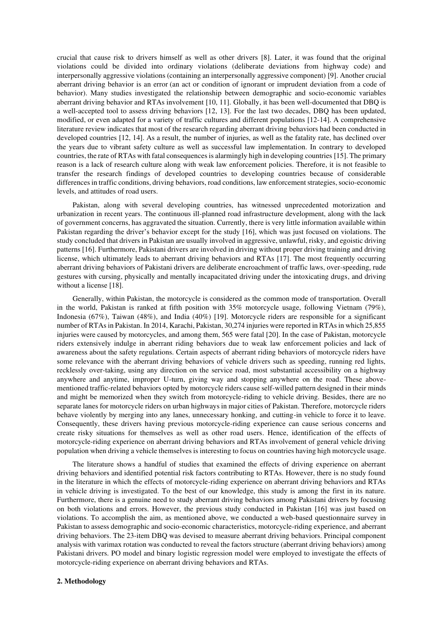crucial that cause risk to drivers himself as well as other drivers [8]. Later, it was found that the original violations could be divided into ordinary violations (deliberate deviations from highway code) and interpersonally aggressive violations (containing an interpersonally aggressive component) [9]. Another crucial aberrant driving behavior is an error (an act or condition of ignorant or imprudent deviation from a code of behavior). Many studies investigated the relationship between demographic and socio-economic variables aberrant driving behavior and RTAs involvement [10, 11]. Globally, it has been well-documented that DBQ is a well-accepted tool to assess driving behaviors [12, 13]. For the last two decades, DBQ has been updated, modified, or even adapted for a variety of traffic cultures and different populations [12-14]. A comprehensive literature review indicates that most of the research regarding aberrant driving behaviors had been conducted in developed countries [12, 14]. As a result, the number of injuries, as well as the fatality rate, has declined over the years due to vibrant safety culture as well as successful law implementation. In contrary to developed countries, the rate of RTAs with fatal consequences is alarmingly high in developing countries [15]. The primary reason is a lack of research culture along with weak law enforcement policies. Therefore, it is not feasible to transfer the research findings of developed countries to developing countries because of considerable differences in traffic conditions, driving behaviors, road conditions, law enforcement strategies, socio-economic levels, and attitudes of road users.

 Pakistan, along with several developing countries, has witnessed unprecedented motorization and urbanization in recent years. The continuous ill-planned road infrastructure development, along with the lack of government concerns, has aggravated the situation. Currently, there is very little information available within Pakistan regarding the driver's behavior except for the study [16], which was just focused on violations. The study concluded that drivers in Pakistan are usually involved in aggressive, unlawful, risky, and egoistic driving patterns [16]. Furthermore, Pakistani drivers are involved in driving without proper driving training and driving license, which ultimately leads to aberrant driving behaviors and RTAs [17]. The most frequently occurring aberrant driving behaviors of Pakistani drivers are deliberate encroachment of traffic laws, over-speeding, rude gestures with cursing, physically and mentally incapacitated driving under the intoxicating drugs, and driving without a license [18].

 Generally, within Pakistan, the motorcycle is considered as the common mode of transportation. Overall in the world, Pakistan is ranked at fifth position with 35% motorcycle usage, following Vietnam (79%), Indonesia (67%), Taiwan (48%), and India (40%) [19]. Motorcycle riders are responsible for a significant number of RTAs in Pakistan. In 2014, Karachi, Pakistan, 30,274 injuries were reported in RTAs in which 25,855 injuries were caused by motorcycles, and among them, 565 were fatal [20]. In the case of Pakistan, motorcycle riders extensively indulge in aberrant riding behaviors due to weak law enforcement policies and lack of awareness about the safety regulations. Certain aspects of aberrant riding behaviors of motorcycle riders have some relevance with the aberrant driving behaviors of vehicle drivers such as speeding, running red lights, recklessly over-taking, using any direction on the service road, most substantial accessibility on a highway anywhere and anytime, improper U-turn, giving way and stopping anywhere on the road. These abovementioned traffic-related behaviors opted by motorcycle riders cause self-willed pattern designed in their minds and might be memorized when they switch from motorcycle-riding to vehicle driving. Besides, there are no separate lanes for motorcycle riders on urban highways in major cities of Pakistan. Therefore, motorcycle riders behave violently by merging into any lanes, unnecessary honking, and cutting-in vehicle to force it to leave. Consequently, these drivers having previous motorcycle-riding experience can cause serious concerns and create risky situations for themselves as well as other road users. Hence, identification of the effects of motorcycle-riding experience on aberrant driving behaviors and RTAs involvement of general vehicle driving population when driving a vehicle themselves is interesting to focus on countries having high motorcycle usage.

 The literature shows a handful of studies that examined the effects of driving experience on aberrant driving behaviors and identified potential risk factors contributing to RTAs. However, there is no study found in the literature in which the effects of motorcycle-riding experience on aberrant driving behaviors and RTAs in vehicle driving is investigated. To the best of our knowledge, this study is among the first in its nature. Furthermore, there is a genuine need to study aberrant driving behaviors among Pakistani drivers by focusing on both violations and errors. However, the previous study conducted in Pakistan [16] was just based on violations. To accomplish the aim, as mentioned above, we conducted a web-based questionnaire survey in Pakistan to assess demographic and socio-economic characteristics, motorcycle-riding experience, and aberrant driving behaviors. The 23-item DBQ was devised to measure aberrant driving behaviors. Principal component analysis with varimax rotation was conducted to reveal the factors structure (aberrant driving behaviors) among Pakistani drivers. PO model and binary logistic regression model were employed to investigate the effects of motorcycle-riding experience on aberrant driving behaviors and RTAs.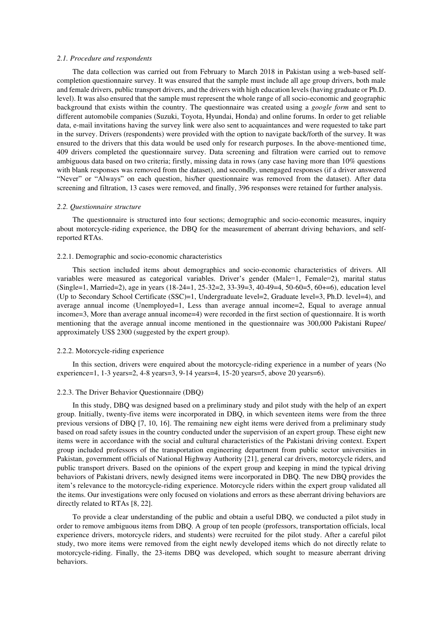#### *2.1. Procedure and respondents*

 The data collection was carried out from February to March 2018 in Pakistan using a web-based selfcompletion questionnaire survey. It was ensured that the sample must include all age group drivers, both male and female drivers, public transport drivers, and the drivers with high education levels (having graduate or Ph.D. level). It was also ensured that the sample must represent the whole range of all socio-economic and geographic background that exists within the country. The questionnaire was created using a *google form* and sent to different automobile companies (Suzuki, Toyota, Hyundai, Honda) and online forums. In order to get reliable data, e-mail invitations having the survey link were also sent to acquaintances and were requested to take part in the survey. Drivers (respondents) were provided with the option to navigate back/forth of the survey. It was ensured to the drivers that this data would be used only for research purposes. In the above-mentioned time, 409 drivers completed the questionnaire survey. Data screening and filtration were carried out to remove ambiguous data based on two criteria; firstly, missing data in rows (any case having more than 10% questions with blank responses was removed from the dataset), and secondly, unengaged responses (if a driver answered "Never" or "Always" on each question, his/her questionnaire was removed from the dataset). After data screening and filtration, 13 cases were removed, and finally, 396 responses were retained for further analysis.

#### *2.2. Questionnaire structure*

 The questionnaire is structured into four sections; demographic and socio-economic measures, inquiry about motorcycle-riding experience, the DBQ for the measurement of aberrant driving behaviors, and selfreported RTAs.

#### 2.2.1. Demographic and socio-economic characteristics

 This section included items about demographics and socio-economic characteristics of drivers. All variables were measured as categorical variables. Driver's gender (Male=1, Female=2), marital status (Single=1, Married=2), age in years (18-24=1, 25-32=2, 33-39=3, 40-49=4, 50-60=5, 60+=6), education level (Up to Secondary School Certificate (SSC)=1, Undergraduate level=2, Graduate level=3, Ph.D. level=4), and average annual income (Unemployed=1, Less than average annual income=2, Equal to average annual income=3, More than average annual income=4) were recorded in the first section of questionnaire. It is worth mentioning that the average annual income mentioned in the questionnaire was 300,000 Pakistani Rupee/ approximately US\$ 2300 (suggested by the expert group).

#### 2.2.2. Motorcycle-riding experience

 In this section, drivers were enquired about the motorcycle-riding experience in a number of years (No experience=1, 1-3 years=2, 4-8 years=3, 9-14 years=4, 15-20 years=5, above 20 years=6).

#### 2.2.3. The Driver Behavior Questionnaire (DBQ)

 In this study, DBQ was designed based on a preliminary study and pilot study with the help of an expert group. Initially, twenty-five items were incorporated in DBQ, in which seventeen items were from the three previous versions of DBQ [7, 10, 16]. The remaining new eight items were derived from a preliminary study based on road safety issues in the country conducted under the supervision of an expert group. These eight new items were in accordance with the social and cultural characteristics of the Pakistani driving context. Expert group included professors of the transportation engineering department from public sector universities in Pakistan, government officials of National Highway Authority [21], general car drivers, motorcycle riders, and public transport drivers. Based on the opinions of the expert group and keeping in mind the typical driving behaviors of Pakistani drivers, newly designed items were incorporated in DBQ. The new DBQ provides the item's relevance to the motorcycle-riding experience. Motorcycle riders within the expert group validated all the items. Our investigations were only focused on violations and errors as these aberrant driving behaviors are directly related to RTAs [8, 22].

 To provide a clear understanding of the public and obtain a useful DBQ, we conducted a pilot study in order to remove ambiguous items from DBQ. A group of ten people (professors, transportation officials, local experience drivers, motorcycle riders, and students) were recruited for the pilot study. After a careful pilot study, two more items were removed from the eight newly developed items which do not directly relate to motorcycle-riding. Finally, the 23-items DBQ was developed, which sought to measure aberrant driving behaviors.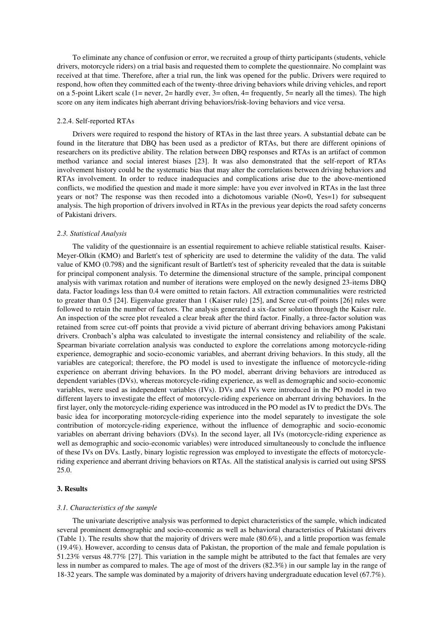To eliminate any chance of confusion or error, we recruited a group of thirty participants (students, vehicle drivers, motorcycle riders) on a trial basis and requested them to complete the questionnaire. No complaint was received at that time. Therefore, after a trial run, the link was opened for the public. Drivers were required to respond, how often they committed each of the twenty-three driving behaviors while driving vehicles, and report on a 5-point Likert scale (1= never, 2= hardly ever, 3= often, 4= frequently, 5= nearly all the times). The high score on any item indicates high aberrant driving behaviors/risk-loving behaviors and vice versa.

#### 2.2.4. Self-reported RTAs

 Drivers were required to respond the history of RTAs in the last three years. A substantial debate can be found in the literature that DBQ has been used as a predictor of RTAs, but there are different opinions of researchers on its predictive ability. The relation between DBQ responses and RTAs is an artifact of common method variance and social interest biases [23]. It was also demonstrated that the self-report of RTAs involvement history could be the systematic bias that may alter the correlations between driving behaviors and RTAs involvement. In order to reduce inadequacies and complications arise due to the above-mentioned conflicts, we modified the question and made it more simple: have you ever involved in RTAs in the last three years or not? The response was then recoded into a dichotomous variable (No=0, Yes=1) for subsequent analysis. The high proportion of drivers involved in RTAs in the previous year depicts the road safety concerns of Pakistani drivers.

#### *2.3. Statistical Analysis*

 The validity of the questionnaire is an essential requirement to achieve reliable statistical results. Kaiser-Meyer-Olkin (KMO) and Barlett's test of sphericity are used to determine the validity of the data. The valid value of KMO (0.798) and the significant result of Bartlett's test of sphericity revealed that the data is suitable for principal component analysis. To determine the dimensional structure of the sample, principal component analysis with varimax rotation and number of iterations were employed on the newly designed 23-items DBQ data. Factor loadings less than 0.4 were omitted to retain factors. All extraction communalities were restricted to greater than 0.5 [24]. Eigenvalue greater than 1 (Kaiser rule) [25], and Scree cut-off points [26] rules were followed to retain the number of factors. The analysis generated a six-factor solution through the Kaiser rule. An inspection of the scree plot revealed a clear break after the third factor. Finally, a three-factor solution was retained from scree cut-off points that provide a vivid picture of aberrant driving behaviors among Pakistani drivers. Cronbach's alpha was calculated to investigate the internal consistency and reliability of the scale. Spearman bivariate correlation analysis was conducted to explore the correlations among motorcycle-riding experience, demographic and socio-economic variables, and aberrant driving behaviors. In this study, all the variables are categorical; therefore, the PO model is used to investigate the influence of motorcycle-riding experience on aberrant driving behaviors. In the PO model, aberrant driving behaviors are introduced as dependent variables (DVs), whereas motorcycle-riding experience, as well as demographic and socio-economic variables, were used as independent variables (IVs). DVs and IVs were introduced in the PO model in two different layers to investigate the effect of motorcycle-riding experience on aberrant driving behaviors. In the first layer, only the motorcycle-riding experience was introduced in the PO model as IV to predict the DVs. The basic idea for incorporating motorcycle-riding experience into the model separately to investigate the sole contribution of motorcycle-riding experience, without the influence of demographic and socio-economic variables on aberrant driving behaviors (DVs). In the second layer, all IVs (motorcycle-riding experience as well as demographic and socio-economic variables) were introduced simultaneously to conclude the influence of these IVs on DVs. Lastly, binary logistic regression was employed to investigate the effects of motorcycleriding experience and aberrant driving behaviors on RTAs. All the statistical analysis is carried out using SPSS 25.0.

#### **3. Results**

#### *3.1. Characteristics of the sample*

 The univariate descriptive analysis was performed to depict characteristics of the sample, which indicated several prominent demographic and socio-economic as well as behavioral characteristics of Pakistani drivers (Table 1). The results show that the majority of drivers were male (80.6%), and a little proportion was female (19.4%). However, according to census data of Pakistan, the proportion of the male and female population is 51.23% versus 48.77% [27]. This variation in the sample might be attributed to the fact that females are very less in number as compared to males. The age of most of the drivers (82.3%) in our sample lay in the range of 18-32 years. The sample was dominated by a majority of drivers having undergraduate education level (67.7%).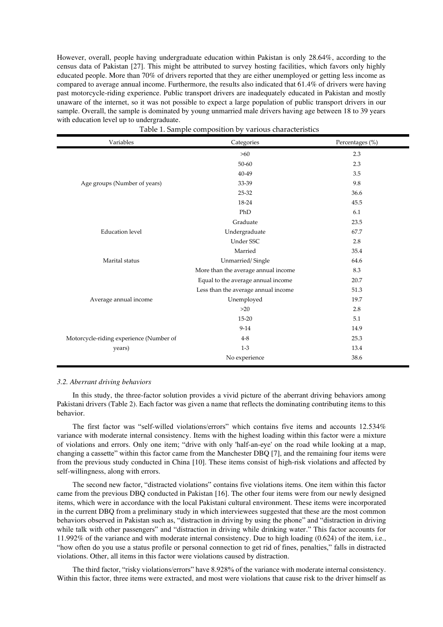However, overall, people having undergraduate education within Pakistan is only 28.64%, according to the census data of Pakistan [27]. This might be attributed to survey hosting facilities, which favors only highly educated people. More than 70% of drivers reported that they are either unemployed or getting less income as compared to average annual income. Furthermore, the results also indicated that 61.4% of drivers were having past motorcycle-riding experience. Public transport drivers are inadequately educated in Pakistan and mostly unaware of the internet, so it was not possible to expect a large population of public transport drivers in our sample. Overall, the sample is dominated by young unmarried male drivers having age between 18 to 39 years with education level up to undergraduate.

| Variables                               | Categories                          | Percentages (%) |
|-----------------------------------------|-------------------------------------|-----------------|
|                                         | $>60$                               | 2.3             |
|                                         | $50 - 60$                           | 2.3             |
|                                         | 40-49                               | 3.5             |
| Age groups (Number of years)            | 33-39                               | 9.8             |
|                                         | 25-32                               | 36.6            |
|                                         | 18-24                               | 45.5            |
|                                         | PhD                                 | 6.1             |
|                                         | Graduate                            | 23.5            |
| <b>Education</b> level                  | Undergraduate                       | 67.7            |
|                                         | Under SSC                           | 2.8             |
|                                         | Married                             | 35.4            |
| Marital status                          | Unmarried/Single                    | 64.6            |
|                                         | More than the average annual income | 8.3             |
|                                         | Equal to the average annual income  | 20.7            |
|                                         | Less than the average annual income | 51.3            |
| Average annual income                   | Unemployed                          | 19.7            |
|                                         | $>20$                               | 2.8             |
|                                         | 15-20                               | 5.1             |
|                                         | $9-14$                              | 14.9            |
| Motorcycle-riding experience (Number of | $4 - 8$                             | 25.3            |
| years)                                  | $1 - 3$                             | 13.4            |
|                                         | No experience                       | 38.6            |

Table 1. Sample composition by various characteristics

#### *3.2. Aberrant driving behaviors*

 In this study, the three-factor solution provides a vivid picture of the aberrant driving behaviors among Pakistani drivers (Table 2). Each factor was given a name that reflects the dominating contributing items to this behavior.

The first factor was "self-willed violations/errors" which contains five items and accounts 12.534% variance with moderate internal consistency. Items with the highest loading within this factor were a mixture of violations and errors. Only one item; "drive with only 'half-an-eye' on the road while looking at a map, changing a cassette" within this factor came from the Manchester DBQ [7], and the remaining four items were from the previous study conducted in China [10]. These items consist of high-risk violations and affected by self-willingness, along with errors.

The second new factor, "distracted violations" contains five violations items. One item within this factor came from the previous DBQ conducted in Pakistan [16]. The other four items were from our newly designed items, which were in accordance with the local Pakistani cultural environment. These items were incorporated in the current DBQ from a preliminary study in which interviewees suggested that these are the most common behaviors observed in Pakistan such as, "distraction in driving by using the phone" and "distraction in driving while talk with other passengers" and "distraction in driving while drinking water." This factor accounts for 11.992% of the variance and with moderate internal consistency. Due to high loading (0.624) of the item, i.e., "how often do you use a status profile or personal connection to get rid of fines, penalties," falls in distracted violations. Other, all items in this factor were violations caused by distraction.

The third factor, "risky violations/errors" have 8.928% of the variance with moderate internal consistency. Within this factor, three items were extracted, and most were violations that cause risk to the driver himself as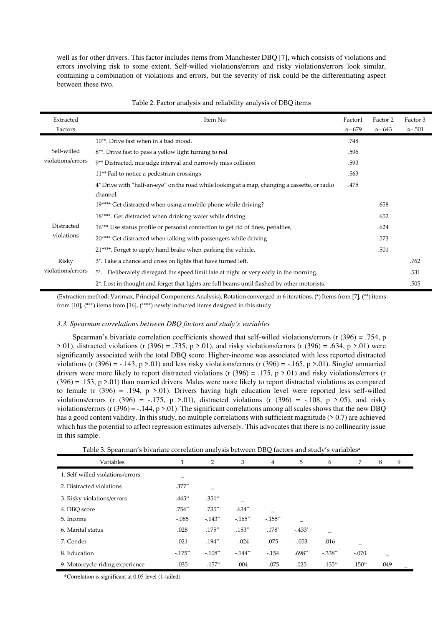well as for other drivers. This factor includes items from Manchester DBQ [7], which consists of violations and errors involving risk to some extent. Self-willed violations/errors and risky violations/errors look similar, containing a combination of violations and errors, but the severity of risk could be the differentiating aspect between these two.

| Extracted<br>Factors | Item No                                                                                                  | Factor1<br>$\alpha = .679$ | Factor 2<br>$\alpha = 643$ | Factor 3<br>$\alpha = 501$ |
|----------------------|----------------------------------------------------------------------------------------------------------|----------------------------|----------------------------|----------------------------|
|                      | 10**. Drive fast when in a bad mood.                                                                     | .748                       |                            |                            |
| Self-willed          | 8 <sup>**</sup> . Drive fast to pass a yellow light turning to red                                       | .596                       |                            |                            |
| violations/errors    | 9 <sup>**</sup> Distracted, misjudge interval and narrowly miss collision                                | .593                       |                            |                            |
|                      | 11** Fail to notice a pedestrian crossings                                                               | .563                       |                            |                            |
|                      | 4* Drive with "half-an-eye" on the road while looking at a map, changing a cassette, or radio            | .475                       |                            |                            |
|                      | channel.                                                                                                 |                            |                            |                            |
|                      | 19**** Get distracted when using a mobile phone while driving?                                           |                            | .658                       |                            |
|                      | 18****. Get distracted when drinking water while driving                                                 |                            | .652                       |                            |
| Distracted           | 16*** Use status profile or personal connection to get rid of fines, penalties,                          |                            | .624                       |                            |
| violations           | 20**** Get distracted when talking with passengers while driving                                         |                            | .573                       |                            |
|                      | 21****. Forget to apply hand brake when parking the vehicle.                                             |                            | .501                       |                            |
| Risky                | 3*. Take a chance and cross on lights that have turned left.                                             |                            |                            | .762                       |
| violations/errors    | 5*. Deliberately disregard the speed limit late at night or very early in the morning.                   |                            |                            | .531                       |
|                      | 2 <sup>*</sup> . Lost in thought and forget that lights are full beams until flashed by other motorists. |                            |                            | .505                       |

#### Table 2. Factor analysis and reliability analysis of DBQ items

(Extraction method: Varimax, Principal Components Analysis), Rotation converged in 6 iterations. (\*) Items from [7], (\*\*) items from [10], (\*\*\*) items from [16], (\*\*\*\*) newly inducted items designed in this study.

#### *3.3. Spearman correlations between DBQ factors and study's variables*

Spearman's bivariate correlation coefficients showed that self-willed violations/errors (r (396) = .754, p  $>0.01$ , distracted violations (r (396) = .735, p  $>0.01$ ), and risky violations/errors (r (396) = .634, p  $>0.01$ ) were significantly associated with the total DBQ score. Higher-income was associated with less reported distracted violations (r (396) = -.143, p >.01) and less risky violations/errors (r (396) = -.165, p >.01). Single/ unmarried drivers were more likely to report distracted violations (r  $(396) = .175$ , p  $> 0.01$ ) and risky violations/errors (r  $(396) = .153$ , p >.01) than married drivers. Males were more likely to report distracted violations as compared to female (r  $(396) = .194$ , p  $> 0.01$ ). Drivers having high education level were reported less self-willed violations/errors (r  $(396) = -0.175$ , p  $> 0.01$ ), distracted violations (r  $(396) = -0.108$ , p  $> 0.05$ ), and risky violations/errors ( $r(396) = -0.144$ ,  $p > 0.01$ ). The significant correlations among all scales shows that the new DBQ has a good content validity. In this study, no multiple correlations with sufficient magnitude  $(> 0.7)$  are achieved which has the potential to affect regression estimates adversely. This advocates that there is no collinearity issue in this sample.

Table 3. Spearman's bivariate correlation analysis between DBQ factors and study's variables<sup>a</sup>

| Variables                        |           | $\overline{2}$ | 3          | 4          | 5        | 6         | 7        | 8       | 9 |
|----------------------------------|-----------|----------------|------------|------------|----------|-----------|----------|---------|---|
| 1. Self-willed violations/errors |           |                |            |            |          |           |          |         |   |
| 2. Distracted violations         | $.377**$  | -              |            |            |          |           |          |         |   |
| 3. Risky violations/errors       | .445**    | $.351**$       |            |            |          |           |          |         |   |
| 4. DBO score                     | .754**    | .735**         | $.634**$   |            |          |           |          |         |   |
| 5. Income                        | $-.085$   | $-.143**$      | $-.165$ ** | $-.155$ ** |          |           |          |         |   |
| 6. Marital status                | .028      | $.175**$       | $.153**$   | $.178*$    | $-433*$  | -         |          |         |   |
| 7. Gender                        | .021      | $.194**$       | $-.024$    | .075       | $-.053$  | .016      | -        |         |   |
| 8. Education                     | $-.175**$ | $-.108**$      | $-144$ **  | $-.154$    | $.698**$ | $-.338**$ | $-.070$  | $\cdot$ |   |
| 9. Motorcycle-riding experience  | .035      | $-.157**$      | .004       | $-.075$    | .025     | $-.135**$ | $.150**$ | .049    |   |

\*Correlation is significant at 0.05 level (1-tailed)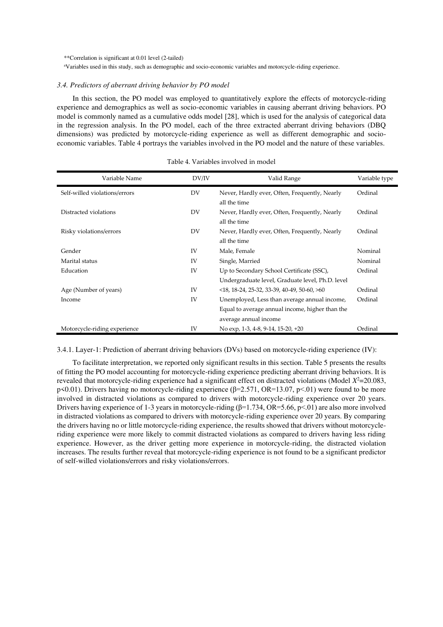\*\*Correlation is significant at 0.01 level (2-tailed)

<sup>a</sup>Variables used in this study, such as demographic and socio-economic variables and motorcycle-riding experience.

#### *3.4. Predictors of aberrant driving behavior by PO model*

 In this section, the PO model was employed to quantitatively explore the effects of motorcycle-riding experience and demographics as well as socio-economic variables in causing aberrant driving behaviors. PO model is commonly named as a cumulative odds model [28], which is used for the analysis of categorical data in the regression analysis. In the PO model, each of the three extracted aberrant driving behaviors (DBQ dimensions) was predicted by motorcycle-riding experience as well as different demographic and socioeconomic variables. Table 4 portrays the variables involved in the PO model and the nature of these variables.

| Variable Name                 | DV/IV | Valid Range                                                                                                              | Variable type |
|-------------------------------|-------|--------------------------------------------------------------------------------------------------------------------------|---------------|
| Self-willed violations/errors | DV    | Never, Hardly ever, Often, Frequently, Nearly<br>all the time                                                            | Ordinal       |
| Distracted violations         | DV    | Never, Hardly ever, Often, Frequently, Nearly<br>all the time                                                            | Ordinal       |
| Risky violations/errors       | DV    | Never, Hardly ever, Often, Frequently, Nearly<br>all the time                                                            | Ordinal       |
| Gender                        | IV    | Male, Female                                                                                                             | Nominal       |
| Marital status                | IV    | Single, Married                                                                                                          | Nominal       |
| Education                     | IV    | Up to Secondary School Certificate (SSC),<br>Undergraduate level, Graduate level, Ph.D. level                            | Ordinal       |
| Age (Number of years)         | IV    | $\langle 18, 18-24, 25-32, 33-39, 40-49, 50-60, \rangle$                                                                 | Ordinal       |
| Income                        | IV    | Unemployed, Less than average annual income,<br>Equal to average annual income, higher than the<br>average annual income | Ordinal       |
| Motorcycle-riding experience  | IV    | No exp, 1-3, 4-8, 9-14, 15-20, +20                                                                                       | Ordinal       |

#### Table 4. Variables involved in model

3.4.1. Layer-1: Prediction of aberrant driving behaviors (DVs) based on motorcycle-riding experience (IV):

 To facilitate interpretation, we reported only significant results in this section. Table 5 presents the results of fitting the PO model accounting for motorcycle-riding experience predicting aberrant driving behaviors. It is revealed that motorcycle-riding experience had a significant effect on distracted violations (Model *X* <sup>2</sup>=20.083, p<0.01). Drivers having no motorcycle-riding experience ( $\beta$ =2.571, OR=13.07, p<.01) were found to be more involved in distracted violations as compared to drivers with motorcycle-riding experience over 20 years. Drivers having experience of 1-3 years in motorcycle-riding (β=1.734, OR=5.66, p<.01) are also more involved in distracted violations as compared to drivers with motorcycle-riding experience over 20 years. By comparing the drivers having no or little motorcycle-riding experience, the results showed that drivers without motorcycleriding experience were more likely to commit distracted violations as compared to drivers having less riding experience. However, as the driver getting more experience in motorcycle-riding, the distracted violation increases. The results further reveal that motorcycle-riding experience is not found to be a significant predictor of self-willed violations/errors and risky violations/errors.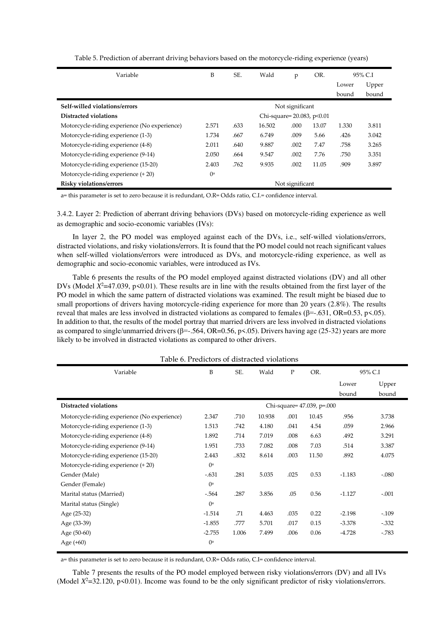| Variable                                         | B                          | SE.  | Wald   | p    | OR.   |       | 95% C.I |
|--------------------------------------------------|----------------------------|------|--------|------|-------|-------|---------|
|                                                  |                            |      |        |      |       | Lower | Upper   |
|                                                  |                            |      |        |      |       | bound | bound   |
| Self-willed violations/errors<br>Not significant |                            |      |        |      |       |       |         |
| Distracted violations                            | Chi-square= 20.083, p<0.01 |      |        |      |       |       |         |
| Motorcycle-riding experience (No experience)     | 2.571                      | .633 | 16.502 | .000 | 13.07 | 1.330 | 3.811   |
| Motorcycle-riding experience (1-3)               | 1.734                      | .667 | 6.749  | .009 | 5.66  | .426  | 3.042   |
| Motorcycle-riding experience (4-8)               | 2.011                      | .640 | 9.887  | .002 | 7.47  | .758  | 3.265   |
| Motorcycle-riding experience (9-14)              | 2.050                      | .664 | 9.547  | .002 | 7.76  | .750  | 3.351   |
| Motorcycle-riding experience (15-20)             | 2.403                      | .762 | 9.935  | .002 | 11.05 | .909  | 3.897   |
| Motorcycle-riding experience (+20)               | $()^a$                     |      |        |      |       |       |         |
| <b>Risky violations/errors</b>                   | Not significant            |      |        |      |       |       |         |

Table 5. Prediction of aberrant driving behaviors based on the motorcycle-riding experience (years)

a= this parameter is set to zero because it is redundant, O.R= Odds ratio, C.I.= confidence interval.

3.4.2. Layer 2: Prediction of aberrant driving behaviors (DVs) based on motorcycle-riding experience as well as demographic and socio-economic variables (IVs):

 In layer 2, the PO model was employed against each of the DVs, i.e., self-willed violations/errors, distracted violations, and risky violations/errors. It is found that the PO model could not reach significant values when self-willed violations/errors were introduced as DVs, and motorcycle-riding experience, as well as demographic and socio-economic variables, were introduced as IVs.

 Table 6 presents the results of the PO model employed against distracted violations (DV) and all other DVs (Model  $X^2$ =47.039, p<0.01). These results are in line with the results obtained from the first layer of the PO model in which the same pattern of distracted violations was examined. The result might be biased due to small proportions of drivers having motorcycle-riding experience for more than 20 years (2.8%). The results reveal that males are less involved in distracted violations as compared to females (β=-.631, OR=0.53, p <.05). In addition to that, the results of the model portray that married drivers are less involved in distracted violations as compared to single/unmarried drivers (β=-.564, OR=0.56, p<.05). Drivers having age (25-32) years are more likely to be involved in distracted violations as compared to other drivers.

| Variable                                     | B                          | SE.   | Wald   | $\mathbf{P}$ | OR.   |          | 95% C.I |
|----------------------------------------------|----------------------------|-------|--------|--------------|-------|----------|---------|
|                                              |                            |       |        |              |       | Lower    | Upper   |
|                                              |                            |       |        |              |       | bound    | bound   |
| Distracted violations                        | Chi-square= 47.039, p=.000 |       |        |              |       |          |         |
| Motorcycle-riding experience (No experience) | 2.347                      | .710  | 10.938 | .001         | 10.45 | .956     | 3.738   |
| Motorcycle-riding experience (1-3)           | 1.513                      | .742  | 4.180  | .041         | 4.54  | .059     | 2.966   |
| Motorcycle-riding experience (4-8)           | 1.892                      | .714  | 7.019  | .008         | 6.63  | .492     | 3.291   |
| Motorcycle-riding experience (9-14)          | 1.951                      | .733  | 7.082  | .008         | 7.03  | .514     | 3.387   |
| Motorcycle-riding experience (15-20)         | 2.443                      | 832   | 8.614  | .003         | 11.50 | .892     | 4.075   |
| Motorcycle-riding experience (+20)           | () <sup>a</sup>            |       |        |              |       |          |         |
| Gender (Male)                                | $-.631$                    | .281  | 5.035  | .025         | 0.53  | $-1.183$ | $-.080$ |
| Gender (Female)                              | $\int$ a                   |       |        |              |       |          |         |
| Marital status (Married)                     | $-564$                     | .287  | 3.856  | .05          | 0.56  | $-1.127$ | $-.001$ |
| Marital status (Single)                      | $\int$ a                   |       |        |              |       |          |         |
| Age (25-32)                                  | $-1.514$                   | .71   | 4.463  | .035         | 0.22  | $-2.198$ | $-.109$ |
| Age (33-39)                                  | $-1.855$                   | .777  | 5.701  | .017         | 0.15  | $-3.378$ | $-332$  |
| Age (50-60)                                  | $-2.755$                   | 1.006 | 7.499  | .006         | 0.06  | $-4.728$ | -.783   |
| Age $(+60)$                                  | $\int$ a                   |       |        |              |       |          |         |
|                                              |                            |       |        |              |       |          |         |

Table 6. Predictors of distracted violations

a= this parameter is set to zero because it is redundant, O.R= Odds ratio, C.I= confidence interval.

 Table 7 presents the results of the PO model employed between risky violations/errors (DV) and all IVs (Model  $X^2$ =32.120, p<0.01). Income was found to be the only significant predictor of risky violations/errors.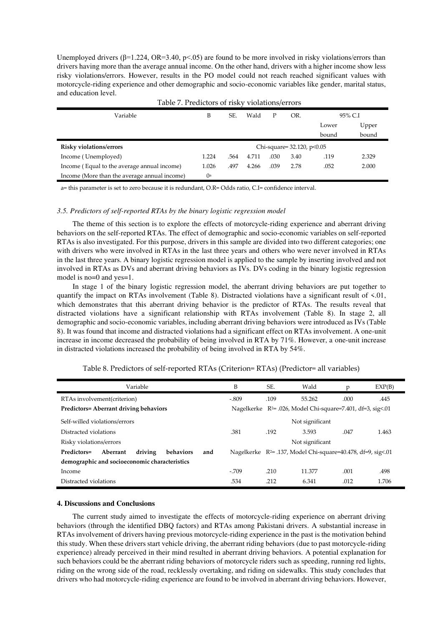Unemployed drivers  $(\beta=1.224, \text{OR} = 3.40, \text{p} < .05)$  are found to be more involved in risky violations/errors than drivers having more than the average annual income. On the other hand, drivers with a higher income show less risky violations/errors. However, results in the PO model could not reach reached significant values with motorcycle-riding experience and other demographic and socio-economic variables like gender, marital status, and education level.

| $10010 + 110010010011101$                    |                                 |      |       |      |      |       |         |
|----------------------------------------------|---------------------------------|------|-------|------|------|-------|---------|
| Variable                                     | B                               | SE.  | Wald  | Р    | OR.  |       | 95% C.I |
|                                              |                                 |      |       |      |      | Lower | Upper   |
|                                              |                                 |      |       |      |      | bound | bound   |
| <b>Risky violations/errors</b>               | Chi-square= $32.120$ , $p<0.05$ |      |       |      |      |       |         |
| Income (Unemployed)                          | 1.224                           | .564 | 4.711 | .030 | 3.40 | .119  | 2.329   |
| Income (Equal to the average annual income)  | 1.026                           | .497 | 4.266 | .039 | 2.78 | .052  | 2.000   |
| Income (More than the average annual income) | $\mathbf{0}^{\mathrm{a}}$       |      |       |      |      |       |         |

|  | Table 7. Predictors of risky violations/errors |  |  |
|--|------------------------------------------------|--|--|
|  |                                                |  |  |

a= this parameter is set to zero because it is redundant, O.R= Odds ratio, C.I= confidence interval.

#### *3.5. Predictors of self-reported RTAs by the binary logistic regression model*

The theme of this section is to explore the effects of motorcycle-riding experience and aberrant driving behaviors on the self-reported RTAs. The effect of demographic and socio-economic variables on self-reported RTAs is also investigated. For this purpose, drivers in this sample are divided into two different categories; one with drivers who were involved in RTAs in the last three years and others who were never involved in RTAs in the last three years. A binary logistic regression model is applied to the sample by inserting involved and not involved in RTAs as DVs and aberrant driving behaviors as IVs. DVs coding in the binary logistic regression model is no=0 and yes=1.

 In stage 1 of the binary logistic regression model, the aberrant driving behaviors are put together to quantify the impact on RTAs involvement (Table 8). Distracted violations have a significant result of <.01, which demonstrates that this aberrant driving behavior is the predictor of RTAs. The results reveal that distracted violations have a significant relationship with RTAs involvement (Table 8). In stage 2, all demographic and socio-economic variables, including aberrant driving behaviors were introduced as IVs (Table 8). It was found that income and distracted violations had a significant effect on RTAs involvement. A one-unit increase in income decreased the probability of being involved in RTA by 71%. However, a one-unit increase in distracted violations increased the probability of being involved in RTA by 54%.

| Variable                                                      | B       | SE.  | Wald                                                                    | p     | EXP(B) |
|---------------------------------------------------------------|---------|------|-------------------------------------------------------------------------|-------|--------|
| RTAs involvement (criterion)                                  | $-.809$ | .109 | 55.262                                                                  | .000. | .445   |
| <b>Predictors=Aberrant driving behaviors</b>                  |         |      | Nagelkerke R <sup>2</sup> = .026, Model Chi-square=7.401, df=3, sig<.01 |       |        |
| Self-willed violations/errors<br>Not significant              |         |      |                                                                         |       |        |
| Distracted violations                                         | .381    | .192 | 3.593                                                                   | .047  | 1.463  |
| Risky violations/errors                                       |         |      | Not significant                                                         |       |        |
| driving<br>behaviors<br><b>Predictors=</b><br>Aberrant<br>and |         |      | Nagelkerke $R^2$ = .137, Model Chi-square=40.478, df=9, sig<.01         |       |        |
| demographic and socioeconomic characteristics                 |         |      |                                                                         |       |        |
| Income                                                        | $-709$  | .210 | 11.377                                                                  | .001  | .498   |
| Distracted violations                                         | .534    | .212 | 6.341                                                                   | .012  | 1.706  |

Table 8. Predictors of self-reported RTAs (Criterion= RTAs) (Predictor= all variables)

#### **4. Discussions and Conclusions**

 The current study aimed to investigate the effects of motorcycle-riding experience on aberrant driving behaviors (through the identified DBQ factors) and RTAs among Pakistani drivers. A substantial increase in RTAs involvement of drivers having previous motorcycle-riding experience in the past is the motivation behind this study. When these drivers start vehicle driving, the aberrant riding behaviors (due to past motorcycle-riding experience) already perceived in their mind resulted in aberrant driving behaviors. A potential explanation for such behaviors could be the aberrant riding behaviors of motorcycle riders such as speeding, running red lights, riding on the wrong side of the road, recklessly overtaking, and riding on sidewalks. This study concludes that drivers who had motorcycle-riding experience are found to be involved in aberrant driving behaviors. However,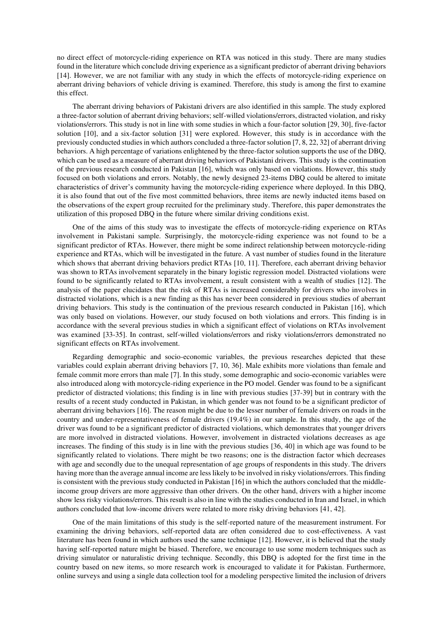no direct effect of motorcycle-riding experience on RTA was noticed in this study. There are many studies found in the literature which conclude driving experience as a significant predictor of aberrant driving behaviors [14]. However, we are not familiar with any study in which the effects of motorcycle-riding experience on aberrant driving behaviors of vehicle driving is examined. Therefore, this study is among the first to examine this effect.

 The aberrant driving behaviors of Pakistani drivers are also identified in this sample. The study explored a three-factor solution of aberrant driving behaviors; self-willed violations/errors, distracted violation, and risky violations/errors. This study is not in line with some studies in which a four-factor solution [29, 30], five-factor solution [10], and a six-factor solution [31] were explored. However, this study is in accordance with the previously conducted studies in which authors concluded a three-factor solution [7, 8, 22, 32] of aberrant driving behaviors. A high percentage of variations enlightened by the three-factor solution supports the use of the DBQ, which can be used as a measure of aberrant driving behaviors of Pakistani drivers. This study is the continuation of the previous research conducted in Pakistan [16], which was only based on violations. However, this study focused on both violations and errors. Notably, the newly designed 23-items DBQ could be altered to imitate characteristics of driver's community having the motorcycle-riding experience where deployed. In this DBQ, it is also found that out of the five most committed behaviors, three items are newly inducted items based on the observations of the expert group recruited for the preliminary study. Therefore, this paper demonstrates the utilization of this proposed DBQ in the future where similar driving conditions exist.

One of the aims of this study was to investigate the effects of motorcycle-riding experience on RTAs involvement in Pakistani sample. Surprisingly, the motorcycle-riding experience was not found to be a significant predictor of RTAs. However, there might be some indirect relationship between motorcycle-riding experience and RTAs, which will be investigated in the future. A vast number of studies found in the literature which shows that aberrant driving behaviors predict RTAs [10, 11]. Therefore, each aberrant driving behavior was shown to RTAs involvement separately in the binary logistic regression model. Distracted violations were found to be significantly related to RTAs involvement, a result consistent with a wealth of studies [12]. The analysis of the paper elucidates that the risk of RTAs is increased considerably for drivers who involves in distracted violations, which is a new finding as this has never been considered in previous studies of aberrant driving behaviors. This study is the continuation of the previous research conducted in Pakistan [16], which was only based on violations. However, our study focused on both violations and errors. This finding is in accordance with the several previous studies in which a significant effect of violations on RTAs involvement was examined [33-35]. In contrast, self-willed violations/errors and risky violations/errors demonstrated no significant effects on RTAs involvement.

 Regarding demographic and socio-economic variables, the previous researches depicted that these variables could explain aberrant driving behaviors [7, 10, 36]. Male exhibits more violations than female and female commit more errors than male [7]. In this study, some demographic and socio-economic variables were also introduced along with motorcycle-riding experience in the PO model. Gender was found to be a significant predictor of distracted violations; this finding is in line with previous studies [37-39] but in contrary with the results of a recent study conducted in Pakistan, in which gender was not found to be a significant predictor of aberrant driving behaviors [16]. The reason might be due to the lesser number of female drivers on roads in the country and under-representativeness of female drivers (19.4%) in our sample. In this study, the age of the driver was found to be a significant predictor of distracted violations, which demonstrates that younger drivers are more involved in distracted violations. However, involvement in distracted violations decreases as age increases. The finding of this study is in line with the previous studies [36, 40] in which age was found to be significantly related to violations. There might be two reasons; one is the distraction factor which decreases with age and secondly due to the unequal representation of age groups of respondents in this study. The drivers having more than the average annual income are less likely to be involved in risky violations/errors. This finding is consistent with the previous study conducted in Pakistan [16] in which the authors concluded that the middleincome group drivers are more aggressive than other drivers. On the other hand, drivers with a higher income show less risky violations/errors. This result is also in line with the studies conducted in Iran and Israel, in which authors concluded that low-income drivers were related to more risky driving behaviors [41, 42].

 One of the main limitations of this study is the self-reported nature of the measurement instrument. For examining the driving behaviors, self-reported data are often considered due to cost-effectiveness. A vast literature has been found in which authors used the same technique [12]. However, it is believed that the study having self-reported nature might be biased. Therefore, we encourage to use some modern techniques such as driving simulator or naturalistic driving technique. Secondly, this DBQ is adopted for the first time in the country based on new items, so more research work is encouraged to validate it for Pakistan. Furthermore, online surveys and using a single data collection tool for a modeling perspective limited the inclusion of drivers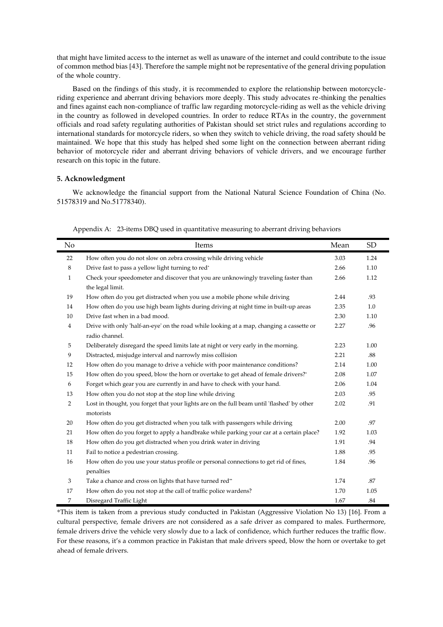that might have limited access to the internet as well as unaware of the internet and could contribute to the issue of common method bias [43]. Therefore the sample might not be representative of the general driving population of the whole country.

 Based on the findings of this study, it is recommended to explore the relationship between motorcycleriding experience and aberrant driving behaviors more deeply. This study advocates re-thinking the penalties and fines against each non-compliance of traffic law regarding motorcycle-riding as well as the vehicle driving in the country as followed in developed countries. In order to reduce RTAs in the country, the government officials and road safety regulating authorities of Pakistan should set strict rules and regulations according to international standards for motorcycle riders, so when they switch to vehicle driving, the road safety should be maintained. We hope that this study has helped shed some light on the connection between aberrant riding behavior of motorcycle rider and aberrant driving behaviors of vehicle drivers, and we encourage further research on this topic in the future.

## **5. Acknowledgment**

 We acknowledge the financial support from the National Natural Science Foundation of China (No. 51578319 and No.51778340).

| No             | Items                                                                                      | Mean | <b>SD</b> |
|----------------|--------------------------------------------------------------------------------------------|------|-----------|
| 22             | How often you do not slow on zebra crossing while driving vehicle                          | 3.03 | 1.24      |
| 8              | Drive fast to pass a yellow light turning to red*                                          | 2.66 | 1.10      |
| $\mathbf{1}$   | Check your speedometer and discover that you are unknowingly traveling faster than         | 2.66 | 1.12      |
|                | the legal limit.                                                                           |      |           |
| 19             | How often do you get distracted when you use a mobile phone while driving                  | 2.44 | .93       |
| 14             | How often do you use high beam lights during driving at night time in built-up areas       | 2.35 | 1.0       |
| 10             | Drive fast when in a bad mood.                                                             | 2.30 | 1.10      |
| $\overline{4}$ | Drive with only 'half-an-eye' on the road while looking at a map, changing a cassette or   | 2.27 | .96       |
|                | radio channel.                                                                             |      |           |
| 5              | Deliberately disregard the speed limits late at night or very early in the morning.        | 2.23 | 1.00      |
| 9              | Distracted, misjudge interval and narrowly miss collision                                  | 2.21 | .88       |
| 12             | How often do you manage to drive a vehicle with poor maintenance conditions?               | 2.14 | 1.00      |
| 15             | How often do you speed, blow the horn or overtake to get ahead of female drivers?*         | 2.08 | 1.07      |
| 6              | Forget which gear you are currently in and have to check with your hand.                   | 2.06 | 1.04      |
| 13             | How often you do not stop at the stop line while driving                                   | 2.03 | .95       |
| $\overline{2}$ | Lost in thought, you forget that your lights are on the full beam until 'flashed' by other | 2.02 | .91       |
|                | motorists                                                                                  |      |           |
| 20             | How often do you get distracted when you talk with passengers while driving                | 2.00 | .97       |
| 21             | How often do you forget to apply a handbrake while parking your car at a certain place?    | 1.92 | 1.03      |
| 18             | How often do you get distracted when you drink water in driving                            | 1.91 | .94       |
| 11             | Fail to notice a pedestrian crossing.                                                      | 1.88 | .95       |
| 16             | How often do you use your status profile or personal connections to get rid of fines,      | 1.84 | .96       |
|                | penalties                                                                                  |      |           |
| 3              | Take a chance and cross on lights that have turned red**                                   | 1.74 | .87       |
| 17             | How often do you not stop at the call of traffic police wardens?                           | 1.70 | 1.05      |
| 7              | Disregard Traffic Light                                                                    | 1.67 | .84       |

Appendix A: 23-items DBQ used in quantitative measuring to aberrant driving behaviors

\*This item is taken from a previous study conducted in Pakistan (Aggressive Violation No 13) [16]. From a cultural perspective, female drivers are not considered as a safe driver as compared to males. Furthermore, female drivers drive the vehicle very slowly due to a lack of confidence, which further reduces the traffic flow. For these reasons, it's a common practice in Pakistan that male drivers speed, blow the horn or overtake to get ahead of female drivers.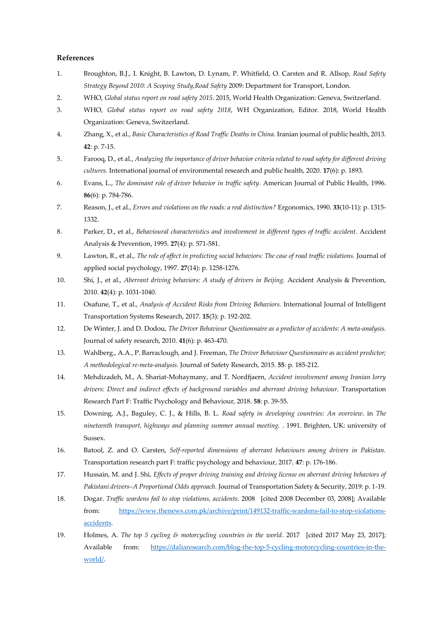### **References**

- 1. Broughton, B.J., I. Knight, B. Lawton, D. Lynam, P. Whitfield, O. Carsten and R. Allsop, *Road Safety Strategy Beyond 2010: A Scoping Study,Road Safety* 2009: Department for Transport, London.
- 2. WHO, *Global status report on road safety 2015*. 2015, World Health Organization: Geneva, Switzerland.
- 3. WHO, *Global status report on road safety 2018*, WH Organization, Editor. 2018, World Health Organization: Geneva, Switzerland.
- 4. Zhang, X., et al., *Basic Characteristics of Road Traffic Deaths in China.* Iranian journal of public health, 2013. **42**: p. 7-15.
- 5. Farooq, D., et al., *Analyzing the importance of driver behavior criteria related to road safety for different driving cultures.* International journal of environmental research and public health, 2020. **17**(6): p. 1893.
- 6. Evans, L., *The dominant role of driver behavior in traffic safety.* American Journal of Public Health, 1996. **86**(6): p. 784-786.
- 7. Reason, J., et al., *Errors and violations on the roads: a real distinction?* Ergonomics, 1990. **33**(10-11): p. 1315- 1332.
- 8. Parker, D., et al., *Behavioural characteristics and involvement in different types of traffic accident.* Accident Analysis & Prevention, 1995. **27**(4): p. 571-581.
- 9. Lawton, R., et al., *The role of affect in predicting social behaviors: The case of road traffic violations.* Journal of applied social psychology, 1997. **27**(14): p. 1258-1276.
- 10. Shi, J., et al., *Aberrant driving behaviors: A study of drivers in Beijing.* Accident Analysis & Prevention, 2010. **42**(4): p. 1031-1040.
- 11. Osafune, T., et al., *Analysis of Accident Risks from Driving Behaviors.* International Journal of Intelligent Transportation Systems Research, 2017. **15**(3): p. 192-202.
- 12. De Winter, J. and D. Dodou, *The Driver Behaviour Questionnaire as a predictor of accidents: A meta-analysis.* Journal of safety research, 2010. **41**(6): p. 463-470.
- 13. Wahlberg., A.A., P. Barraclough, and J. Freeman, *The Driver Behaviour Questionnaire as accident predictor; A methodological re-meta-analysis.* Journal of Safety Research, 2015. **55**: p. 185-212.
- 14. Mehdizadeh, M., A. Shariat-Mohaymany, and T. Nordfjaern, *Accident involvement among Iranian lorry drivers: Direct and indirect effects of background variables and aberrant driving behaviour.* Transportation Research Part F: Traffic Psychology and Behaviour, 2018. **58**: p. 39-55.
- 15. Downing, A.J., Baguley, C. J., & Hills, B. L. *Road safety in developing countries: An overview*. in *The nineteenth transport, highways and planning summer annual meeting.* . 1991. Brighten, UK: university of Sussex.
- 16. Batool, Z. and O. Carsten, *Self-reported dimensions of aberrant behaviours among drivers in Pakistan.* Transportation research part F: traffic psychology and behaviour, 2017. **47**: p. 176-186.
- 17. Hussain, M. and J. Shi, *Effects of proper driving training and driving license on aberrant driving behaviors of Pakistani drivers–A Proportional Odds approach.* Journal of Transportation Safety & Security, 2019: p. 1-19.
- 18. Dogar. *Traffic wardens fail to stop violations, accidents*. 2008 [cited 2008 December 03, 2008]; Available from: [https://www.thenews.com.pk/archive/print/149132-traffic-wardens-fail-to-stop-violations](https://www.thenews.com.pk/archive/print/149132-traffic-wardens-fail-to-stop-violations-accidents)[accidents.](https://www.thenews.com.pk/archive/print/149132-traffic-wardens-fail-to-stop-violations-accidents)
- 19. Holmes, A. *The top 5 cycling & motorcycling countries in the world*. 2017 [cited 2017 May 23, 2017]; Available from: [https://daliaresearch.com/blog-the-top-5-cycling-motorcycling-countries-in-the](https://daliaresearch.com/blog-the-top-5-cycling-motorcycling-countries-in-the-world/)[world/.](https://daliaresearch.com/blog-the-top-5-cycling-motorcycling-countries-in-the-world/)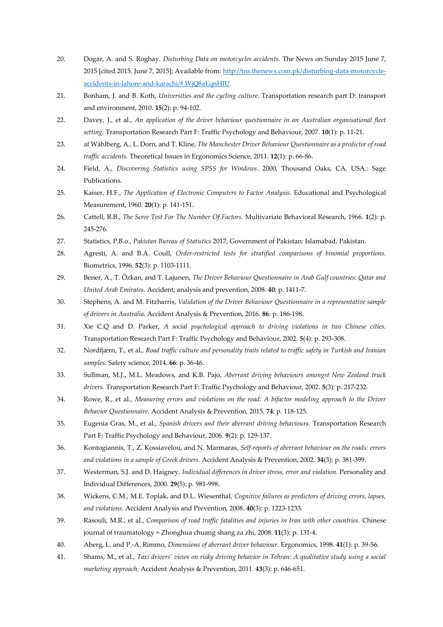- 20. Dogar, A. and S. Roghay. *Disturbing Data on motorcycles accidents*. The News on Sunday 2015 June 7, 2015 [cited 2015. June 7, 2015]; Available from[: http://tns.thenews.com.pk/disturbing-data-motorcycle](http://tns.thenews.com.pk/disturbing-data-motorcycle-accidents-in-lahore-and-karachi/#.WjQ8aEqnHIU)[accidents-in-lahore-and-karachi/#.WjQ8aEqnHIU.](http://tns.thenews.com.pk/disturbing-data-motorcycle-accidents-in-lahore-and-karachi/#.WjQ8aEqnHIU)
- 21. Bonham, J. and B. Koth, *Universities and the cycling culture.* Transportation research part D: transport and environment, 2010. **15**(2): p. 94-102.
- 22. Davey, J., et al., *An application of the driver behaviour questionnaire in an Australian organisational fleet setting.* Transportation Research Part F: Traffic Psychology and Behaviour, 2007. **10**(1): p. 11-21.
- 23. af Wåhlberg, A., L. Dorn, and T. Kline, *The Manchester Driver Behaviour Questionnaire as a predictor of road traffic accidents.* Theoretical Issues in Ergonomics Science, 2011. **12**(1): p. 66-86.
- 24. Field, A., *Discovering Statistics using SPSS for Windows*. 2000, Thousand Oaks, CA, USA.: Sage Publications.
- 25. Kaiser, H.F., *The Application of Electronic Computers to Factor Analysis.* Educational and Psychological Measurement, 1960. **20**(1): p. 141-151.
- 26. Cattell, R.B., *The Scree Test For The Number Of Factors.* Multivariate Behavioral Research, 1966. **1**(2): p. 245-276.
- 27. Statistics, P.B.o., *Pakistan Bureau of Statistics* 2017, Government of Pakistan: Islamabad, Pakistan.
- 28. Agresti, A. and B.A. Coull, *Order-restricted tests for stratified comparisons of binomial proportions.* Biometrics, 1996. **52**(3): p. 1103-1111.
- 29. Bener, A., T. Özkan, and T. Lajunen, *The Driver Behaviour Questionnaire in Arab Gulf countries: Qatar and United Arab Emirates.* Accident; analysis and prevention, 2008. **40**: p. 1411-7.
- 30. Stephens, A. and M. Fitzharris, *Validation of the Driver Behaviour Questionnaire in a representative sample of drivers in Australia.* Accident Analysis & Prevention, 2016. **86**: p. 186-198.
- 31. Xie C.Q and D. Parker, *A social psychological approach to driving violations in two Chinese cities.* Transportation Research Part F: Traffic Psychology and Behaviour, 2002. **5**(4): p. 293-308.
- 32. Nordfjærn, T., et al., *Road traffic culture and personality traits related to traffic safety in Turkish and Iranian samples.* Safety science, 2014. **66**: p. 36-46.
- 33. Sullman, M.J., M.L. Meadows, and K.B. Pajo, *Aberrant driving behaviours amongst New Zealand truck drivers.* Transportation Research Part F: Traffic Psychology and Behaviour, 2002. **5**(3): p. 217-232.
- 34. Rowe, R., et al., *Measuring errors and violations on the road: A bifactor modeling approach to the Driver Behavior Questionnaire.* Accident Analysis & Prevention, 2015. **74**: p. 118-125.
- 35. Eugenia Gras, M., et al., *Spanish drivers and their aberrant driving behaviours.* Transportation Research Part F: Traffic Psychology and Behaviour, 2006. **9**(2): p. 129-137.
- 36. Kontogiannis, T., Z. Kossiavelou, and N. Marmaras, *Self-reports of aberrant behaviour on the roads: errors and violations in a sample of Greek drivers.* Accident Analysis & Prevention, 2002. **34**(3): p. 381-399.
- 37. Westerman, S.J. and D. Haigney, *Individual differences in driver stress, error and violation.* Personality and Individual Differences, 2000. **29**(5): p. 981-998.
- 38. Wickens, C.M., M.E. Toplak, and D.L. Wiesenthal, *Cognitive failures as predictors of driving errors, lapses, and violations.* Accident Analysis and Prevention, 2008. **40**(3): p. 1223-1233.
- 39. Rasouli, M.R., et al., *Comparison of road traffic fatalities and injuries in Iran with other countries.* Chinese journal of traumatology = Zhonghua chuang shang za zhi, 2008. **11**(3): p. 131-4.
- 40. Aberg, L. and P.-A. Rimmo, *Dimensions of aberrant driver behaviour.* Ergonomics, 1998. **41**(1): p. 39-56.
- 41. Shams, M., et al., *Taxi drivers' views on risky driving behavior in Tehran: A qualitative study using a social marketing approach.* Accident Analysis & Prevention, 2011. **43**(3): p. 646-651.